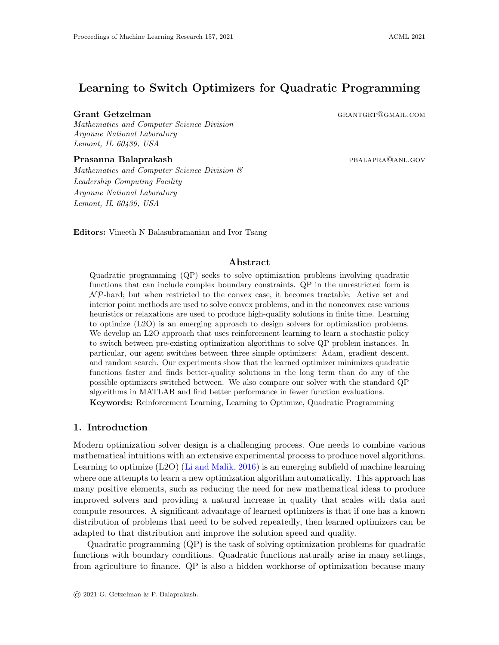# Learning to Switch Optimizers for Quadratic Programming

### Grant Getzelman Grantget Communication CRANTGET@GMAIL.COM

Mathematics and Computer Science Division Argonne National Laboratory Lemont, IL 60439, USA

### **Prasanna Balaprakash paramaging paramaging paramaging paramaging paramaging paramaging paramaging paramaging p**

Mathematics and Computer Science Division & Leadership Computing Facility Argonne National Laboratory Lemont, IL 60439, USA

Editors: Vineeth N Balasubramanian and Ivor Tsang

### Abstract

Quadratic programming (QP) seeks to solve optimization problems involving quadratic functions that can include complex boundary constraints. QP in the unrestricted form is  $\mathcal{NP}$ -hard; but when restricted to the convex case, it becomes tractable. Active set and interior point methods are used to solve convex problems, and in the nonconvex case various heuristics or relaxations are used to produce high-quality solutions in finite time. Learning to optimize (L2O) is an emerging approach to design solvers for optimization problems. We develop an L2O approach that uses reinforcement learning to learn a stochastic policy to switch between pre-existing optimization algorithms to solve QP problem instances. In particular, our agent switches between three simple optimizers: Adam, gradient descent, and random search. Our experiments show that the learned optimizer minimizes quadratic functions faster and finds better-quality solutions in the long term than do any of the possible optimizers switched between. We also compare our solver with the standard QP algorithms in MATLAB and find better performance in fewer function evaluations. Keywords: Reinforcement Learning, Learning to Optimize, Quadratic Programming

# 1. Introduction

Modern optimization solver design is a challenging process. One needs to combine various mathematical intuitions with an extensive experimental process to produce novel algorithms. Learning to optimize (L2O) [\(Li and Malik,](#page-15-0) [2016\)](#page-15-0) is an emerging subfield of machine learning where one attempts to learn a new optimization algorithm automatically. This approach has many positive elements, such as reducing the need for new mathematical ideas to produce improved solvers and providing a natural increase in quality that scales with data and compute resources. A significant advantage of learned optimizers is that if one has a known distribution of problems that need to be solved repeatedly, then learned optimizers can be adapted to that distribution and improve the solution speed and quality.

Quadratic programming (QP) is the task of solving optimization problems for quadratic functions with boundary conditions. Quadratic functions naturally arise in many settings, from agriculture to finance. QP is also a hidden workhorse of optimization because many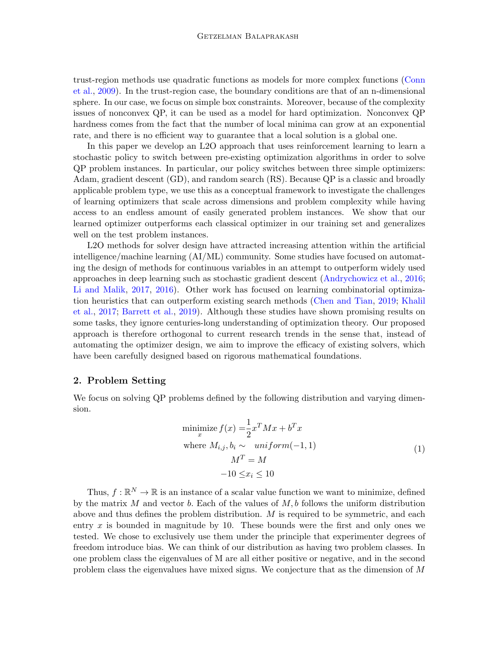trust-region methods use quadratic functions as models for more complex functions [\(Conn](#page-14-0) [et al.,](#page-14-0) [2009\)](#page-14-0). In the trust-region case, the boundary conditions are that of an n-dimensional sphere. In our case, we focus on simple box constraints. Moreover, because of the complexity issues of nonconvex QP, it can be used as a model for hard optimization. Nonconvex QP hardness comes from the fact that the number of local minima can grow at an exponential rate, and there is no efficient way to guarantee that a local solution is a global one.

In this paper we develop an L2O approach that uses reinforcement learning to learn a stochastic policy to switch between pre-existing optimization algorithms in order to solve QP problem instances. In particular, our policy switches between three simple optimizers: Adam, gradient descent (GD), and random search (RS). Because QP is a classic and broadly applicable problem type, we use this as a conceptual framework to investigate the challenges of learning optimizers that scale across dimensions and problem complexity while having access to an endless amount of easily generated problem instances. We show that our learned optimizer outperforms each classical optimizer in our training set and generalizes well on the test problem instances.

L2O methods for solver design have attracted increasing attention within the artificial intelligence/machine learning (AI/ML) community. Some studies have focused on automating the design of methods for continuous variables in an attempt to outperform widely used approaches in deep learning such as stochastic gradient descent [\(Andrychowicz et al.,](#page-14-1) [2016;](#page-14-1) [Li and Malik,](#page-15-1) [2017,](#page-15-1) [2016\)](#page-15-0). Other work has focused on learning combinatorial optimization heuristics that can outperform existing search methods [\(Chen and Tian,](#page-14-2) [2019;](#page-14-2) [Khalil](#page-15-2) [et al.,](#page-15-2) [2017;](#page-15-2) [Barrett et al.,](#page-14-3) [2019\)](#page-14-3). Although these studies have shown promising results on some tasks, they ignore centuries-long understanding of optimization theory. Our proposed approach is therefore orthogonal to current research trends in the sense that, instead of automating the optimizer design, we aim to improve the efficacy of existing solvers, which have been carefully designed based on rigorous mathematical foundations.

## 2. Problem Setting

We focus on solving QP problems defined by the following distribution and varying dimension.

$$
\begin{aligned}\n\text{minimize } f(x) &= \frac{1}{2} x^T M x + b^T x \\
\text{where } M_{i,j}, b_i &\sim \text{ uniform}(-1, 1) \\
M^T &= M \\
&-10 \le x_i \le 10\n\end{aligned} \tag{1}
$$

<span id="page-1-0"></span>Thus,  $f : \mathbb{R}^N \to \mathbb{R}$  is an instance of a scalar value function we want to minimize, defined by the matrix  $M$  and vector  $b$ . Each of the values of  $M$ ,  $b$  follows the uniform distribution above and thus defines the problem distribution.  $M$  is required to be symmetric, and each entry x is bounded in magnitude by 10. These bounds were the first and only ones we tested. We chose to exclusively use them under the principle that experimenter degrees of freedom introduce bias. We can think of our distribution as having two problem classes. In one problem class the eigenvalues of M are all either positive or negative, and in the second problem class the eigenvalues have mixed signs. We conjecture that as the dimension of M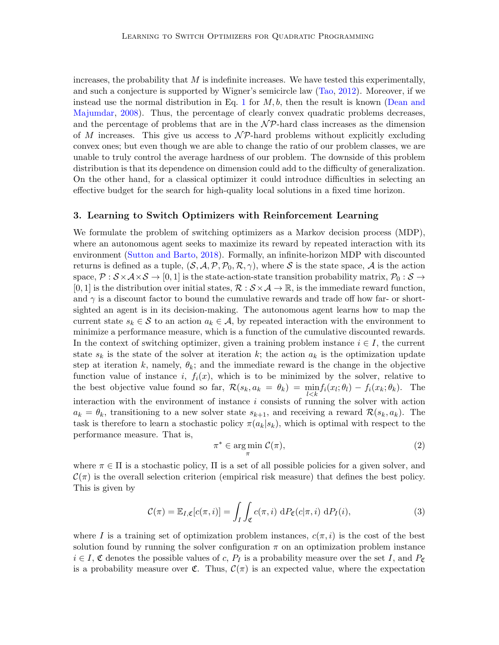increases, the probability that  $M$  is indefinite increases. We have tested this experimentally, and such a conjecture is supported by Wigner's semicircle law [\(Tao,](#page-15-3) [2012\)](#page-15-3). Moreover, if we instead use the normal distribution in Eq. [1](#page-1-0) for  $M, b$ , then the result is known [\(Dean and](#page-14-4) [Majumdar,](#page-14-4) [2008\)](#page-14-4). Thus, the percentage of clearly convex quadratic problems decreases, and the percentage of problems that are in the  $\mathcal{NP}$ -hard class increases as the dimension of M increases. This give us access to  $\mathcal{NP}$ -hard problems without explicitly excluding convex ones; but even though we are able to change the ratio of our problem classes, we are unable to truly control the average hardness of our problem. The downside of this problem distribution is that its dependence on dimension could add to the difficulty of generalization. On the other hand, for a classical optimizer it could introduce difficulties in selecting an effective budget for the search for high-quality local solutions in a fixed time horizon.

# 3. Learning to Switch Optimizers with Reinforcement Learning

We formulate the problem of switching optimizers as a Markov decision process (MDP), where an autonomous agent seeks to maximize its reward by repeated interaction with its environment [\(Sutton and Barto,](#page-15-4) [2018\)](#page-15-4). Formally, an infinite-horizon MDP with discounted returns is defined as a tuple,  $(S, A, P, P_0, R, \gamma)$ , where S is the state space, A is the action space,  $\mathcal{P}: \mathcal{S} \times \mathcal{A} \times \mathcal{S} \to [0,1]$  is the state-action-state transition probability matrix,  $\mathcal{P}_0: \mathcal{S} \to$  $[0, 1]$  is the distribution over initial states,  $\mathcal{R}: \mathcal{S} \times \mathcal{A} \to \mathbb{R}$ , is the immediate reward function, and  $\gamma$  is a discount factor to bound the cumulative rewards and trade off how far- or shortsighted an agent is in its decision-making. The autonomous agent learns how to map the current state  $s_k \in \mathcal{S}$  to an action  $a_k \in \mathcal{A}$ , by repeated interaction with the environment to minimize a performance measure, which is a function of the cumulative discounted rewards. In the context of switching optimizer, given a training problem instance  $i \in I$ , the current state  $s_k$  is the state of the solver at iteration k; the action  $a_k$  is the optimization update step at iteration k, namely,  $\theta_k$ ; and the immediate reward is the change in the objective function value of instance i,  $f_i(x)$ , which is to be minimized by the solver, relative to the best objective value found so far,  $\mathcal{R}(s_k, a_k = \theta_k) = \min_{l \leq k} f_i(x_l; \theta_l) - f_i(x_k; \theta_k)$ . The interaction with the environment of instance  $i$  consists of running the solver with action  $a_k = \theta_k$ , transitioning to a new solver state  $s_{k+1}$ , and receiving a reward  $\mathcal{R}(s_k, a_k)$ . The task is therefore to learn a stochastic policy  $\pi(a_k|s_k)$ , which is optimal with respect to the performance measure. That is,

$$
\pi^* \in \operatorname*{arg\,min}_{\pi} \mathcal{C}(\pi),\tag{2}
$$

where  $\pi \in \Pi$  is a stochastic policy,  $\Pi$  is a set of all possible policies for a given solver, and  $\mathcal{C}(\pi)$  is the overall selection criterion (empirical risk measure) that defines the best policy. This is given by

$$
\mathcal{C}(\pi) = \mathbb{E}_{I,\mathfrak{C}}[c(\pi,i)] = \int_I \int_{\mathfrak{C}} c(\pi,i) \, dP_{\mathfrak{C}}(c|\pi,i) \, dP_I(i), \tag{3}
$$

where I is a training set of optimization problem instances,  $c(\pi, i)$  is the cost of the best solution found by running the solver configuration  $\pi$  on an optimization problem instance  $i \in I$ ,  $\mathfrak C$  denotes the possible values of c,  $P_I$  is a probability measure over the set I, and  $P_{\mathfrak C}$ is a probability measure over  $\mathfrak{C}$ . Thus,  $\mathcal{C}(\pi)$  is an expected value, where the expectation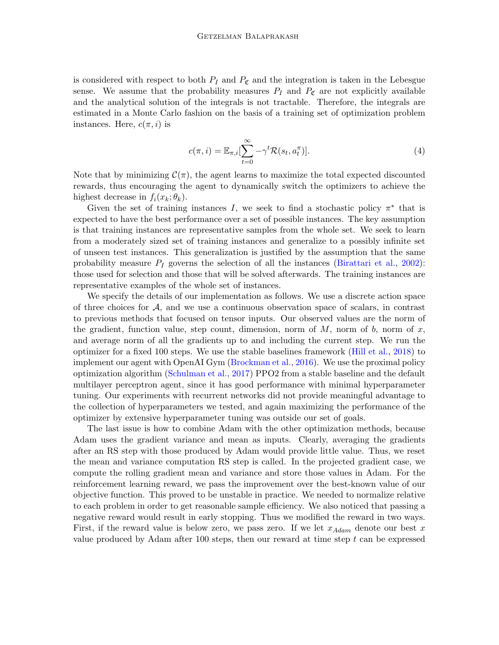is considered with respect to both  $P_I$  and  $P_{\mathfrak{C}}$  and the integration is taken in the Lebesgue sense. We assume that the probability measures  $P_I$  and  $P_{\mathfrak{C}}$  are not explicitly available and the analytical solution of the integrals is not tractable. Therefore, the integrals are estimated in a Monte Carlo fashion on the basis of a training set of optimization problem instances. Here,  $c(\pi, i)$  is

$$
c(\pi, i) = \mathbb{E}_{\pi, i} \left[ \sum_{t=0}^{\infty} -\gamma^t \mathcal{R}(s_t, a_t^{\pi}) \right].
$$
 (4)

Note that by minimizing  $\mathcal{C}(\pi)$ , the agent learns to maximize the total expected discounted rewards, thus encouraging the agent to dynamically switch the optimizers to achieve the highest decrease in  $f_i(x_k; \theta_k)$ .

Given the set of training instances I, we seek to find a stochastic policy  $\pi^*$  that is expected to have the best performance over a set of possible instances. The key assumption is that training instances are representative samples from the whole set. We seek to learn from a moderately sized set of training instances and generalize to a possibly infinite set of unseen test instances. This generalization is justified by the assumption that the same probability measure  $P_I$  governs the selection of all the instances [\(Birattari et al.,](#page-14-5) [2002\)](#page-14-5): those used for selection and those that will be solved afterwards. The training instances are representative examples of the whole set of instances.

We specify the details of our implementation as follows. We use a discrete action space of three choices for  $A$ , and we use a continuous observation space of scalars, in contrast to previous methods that focused on tensor inputs. Our observed values are the norm of the gradient, function value, step count, dimension, norm of  $M$ , norm of  $b$ , norm of  $x$ , and average norm of all the gradients up to and including the current step. We run the optimizer for a fixed 100 steps. We use the stable baselines framework [\(Hill et al.,](#page-15-5) [2018\)](#page-15-5) to implement our agent with OpenAI Gym [\(Brockman et al.,](#page-14-6) [2016\)](#page-14-6). We use the proximal policy optimization algorithm [\(Schulman et al.,](#page-15-6) [2017\)](#page-15-6) PPO2 from a stable baseline and the default multilayer perceptron agent, since it has good performance with minimal hyperparameter tuning. Our experiments with recurrent networks did not provide meaningful advantage to the collection of hyperparameters we tested, and again maximizing the performance of the optimizer by extensive hyperparameter tuning was outside our set of goals.

The last issue is how to combine Adam with the other optimization methods, because Adam uses the gradient variance and mean as inputs. Clearly, averaging the gradients after an RS step with those produced by Adam would provide little value. Thus, we reset the mean and variance computation RS step is called. In the projected gradient case, we compute the rolling gradient mean and variance and store those values in Adam. For the reinforcement learning reward, we pass the improvement over the best-known value of our objective function. This proved to be unstable in practice. We needed to normalize relative to each problem in order to get reasonable sample efficiency. We also noticed that passing a negative reward would result in early stopping. Thus we modified the reward in two ways. First, if the reward value is below zero, we pass zero. If we let  $x_{Adam}$  denote our best x value produced by Adam after 100 steps, then our reward at time step  $t$  can be expressed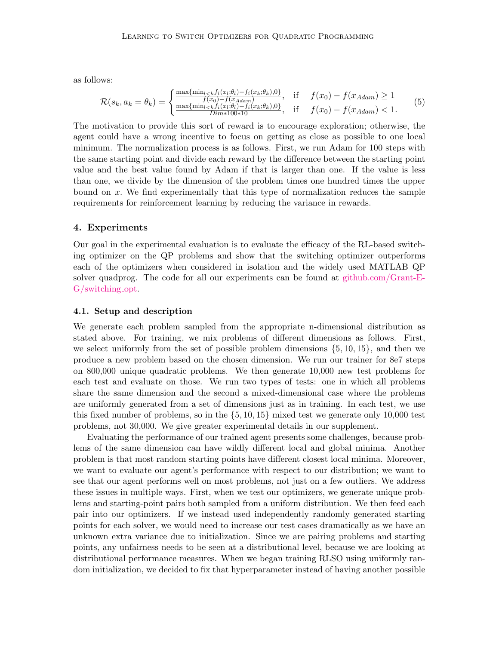as follows:

$$
\mathcal{R}(s_k, a_k = \theta_k) = \begin{cases} \frac{\max\{\min_{l < k} f_i(x_l; \theta_l) - f_i(x_k; \theta_k), 0\}}{f(x_0) - f(x_{Adam})}, & \text{if } f(x_0) - f(x_{Adam}) \ge 1\\ \frac{\max\{\min_{l < k} f_i(x_l; \theta_l) - f_i(x_k; \theta_k), 0\}}{Dim*100*10}, & \text{if } f(x_0) - f(x_{Adam}) < 1. \end{cases} \tag{5}
$$

The motivation to provide this sort of reward is to encourage exploration; otherwise, the agent could have a wrong incentive to focus on getting as close as possible to one local minimum. The normalization process is as follows. First, we run Adam for 100 steps with the same starting point and divide each reward by the difference between the starting point value and the best value found by Adam if that is larger than one. If the value is less than one, we divide by the dimension of the problem times one hundred times the upper bound on x. We find experimentally that this type of normalization reduces the sample requirements for reinforcement learning by reducing the variance in rewards.

# 4. Experiments

Our goal in the experimental evaluation is to evaluate the efficacy of the RL-based switching optimizer on the QP problems and show that the switching optimizer outperforms each of the optimizers when considered in isolation and the widely used MATLAB QP solver quadprog. The code for all our experiments can be found at [github.com/Grant-E-](https://github.com/Grant-E-G/switching_opt)[G/switching](https://github.com/Grant-E-G/switching_opt) opt.

#### 4.1. Setup and description

We generate each problem sampled from the appropriate n-dimensional distribution as stated above. For training, we mix problems of different dimensions as follows. First, we select uniformly from the set of possible problem dimensions  $\{5, 10, 15\}$ , and then we produce a new problem based on the chosen dimension. We run our trainer for 8e7 steps on 800,000 unique quadratic problems. We then generate 10,000 new test problems for each test and evaluate on those. We run two types of tests: one in which all problems share the same dimension and the second a mixed-dimensional case where the problems are uniformly generated from a set of dimensions just as in training. In each test, we use this fixed number of problems, so in the {5, 10, 15} mixed test we generate only 10,000 test problems, not 30,000. We give greater experimental details in our supplement.

Evaluating the performance of our trained agent presents some challenges, because problems of the same dimension can have wildly different local and global minima. Another problem is that most random starting points have different closest local minima. Moreover, we want to evaluate our agent's performance with respect to our distribution; we want to see that our agent performs well on most problems, not just on a few outliers. We address these issues in multiple ways. First, when we test our optimizers, we generate unique problems and starting-point pairs both sampled from a uniform distribution. We then feed each pair into our optimizers. If we instead used independently randomly generated starting points for each solver, we would need to increase our test cases dramatically as we have an unknown extra variance due to initialization. Since we are pairing problems and starting points, any unfairness needs to be seen at a distributional level, because we are looking at distributional performance measures. When we began training RLSO using uniformly random initialization, we decided to fix that hyperparameter instead of having another possible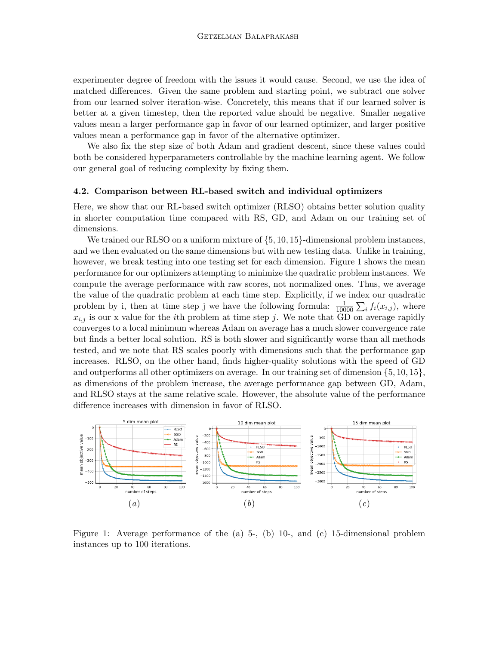experimenter degree of freedom with the issues it would cause. Second, we use the idea of matched differences. Given the same problem and starting point, we subtract one solver from our learned solver iteration-wise. Concretely, this means that if our learned solver is better at a given timestep, then the reported value should be negative. Smaller negative values mean a larger performance gap in favor of our learned optimizer, and larger positive values mean a performance gap in favor of the alternative optimizer.

We also fix the step size of both Adam and gradient descent, since these values could both be considered hyperparameters controllable by the machine learning agent. We follow our general goal of reducing complexity by fixing them.

#### 4.2. Comparison between RL-based switch and individual optimizers

Here, we show that our RL-based switch optimizer (RLSO) obtains better solution quality in shorter computation time compared with RS, GD, and Adam on our training set of dimensions.

We trained our RLSO on a uniform mixture of  $\{5, 10, 15\}$ -dimensional problem instances, and we then evaluated on the same dimensions but with new testing data. Unlike in training, however, we break testing into one testing set for each dimension. Figure 1 shows the mean performance for our optimizers attempting to minimize the quadratic problem instances. We compute the average performance with raw scores, not normalized ones. Thus, we average the value of the quadratic problem at each time step. Explicitly, if we index our quadratic problem by i, then at time step j we have the following formula:  $\frac{1}{10000} \sum_i f_i(x_{i,j})$ , where  $x_{i,j}$  is our x value for the *i*th problem at time step j. We note that GD on average rapidly converges to a local minimum whereas Adam on average has a much slower convergence rate but finds a better local solution. RS is both slower and significantly worse than all methods tested, and we note that RS scales poorly with dimensions such that the performance gap increases. RLSO, on the other hand, finds higher-quality solutions with the speed of GD and outperforms all other optimizers on average. In our training set of dimension {5, 10, 15}, as dimensions of the problem increase, the average performance gap between GD, Adam, and RLSO stays at the same relative scale. However, the absolute value of the performance difference increases with dimension in favor of RLSO.



Figure 1: Average performance of the (a) 5-, (b) 10-, and (c) 15-dimensional problem instances up to 100 iterations.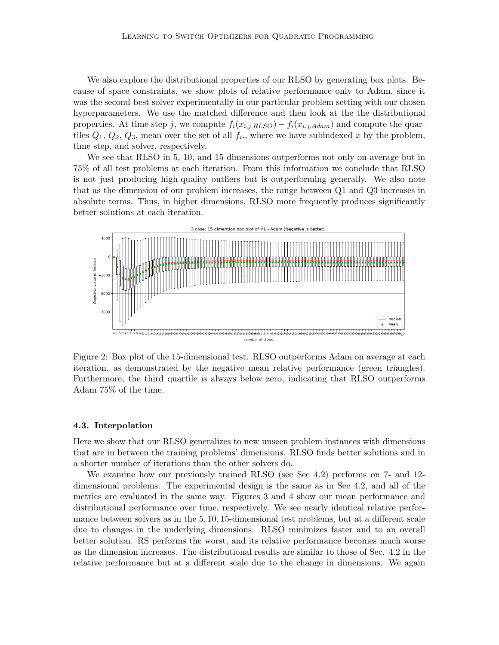We also explore the distributional properties of our RLSO by generating box plots. Because of space constraints, we show plots of relative performance only to Adam, since it was the second-best solver experimentally in our particular problem setting with our chosen hyperparameters. We use the matched difference and then look at the the distributional properties. At time step j, we compute  $f_i(x_{i,j,RLSO}) - f_i(x_{i,j,Adam})$  and compute the quartiles  $Q_1, Q_2, Q_3$ , mean over the set of all  $f_i$ , where we have subindexed x by the problem, time step, and solver, respectively.

We see that RLSO in 5, 10, and 15 dimensions outperforms not only on average but in 75% of all test problems at each iteration. From this information we conclude that RLSO is not just producing high-quality outliers but is outperforming generally. We also note that as the dimension of our problem increases, the range between Q1 and Q3 increases in absolute terms. Thus, in higher dimensions, RLSO more frequently produces significantly better solutions at each iteration.



Figure 2: Box plot of the 15-dimensional test. RLSO outperforms Adam on average at each iteration, as demonstrated by the negative mean relative performance (green triangles). Furthermore, the third quartile is always below zero, indicating that RLSO outperforms Adam 75% of the time.

#### 4.3. Interpolation

Here we show that our RLSO generalizes to new unseen problem instances with dimensions that are in between the training problems' dimensions. RLSO finds better solutions and in a shorter number of iterations than the other solvers do.

We examine how our previously trained RLSO (see Sec 4.2) performs on 7- and 12 dimensional problems. The experimental design is the same as in Sec 4.2, and all of the metrics are evaluated in the same way. Figures 3 and 4 show our mean performance and distributional performance over time, respectively. We see nearly identical relative performance between solvers as in the 5, 10, 15-dimensional test problems, but at a different scale due to changes in the underlying dimensions. RLSO minimizes faster and to an overall better solution. RS performs the worst, and its relative performance becomes much worse as the dimension increases. The distributional results are similar to those of Sec. 4.2 in the relative performance but at a different scale due to the change in dimensions. We again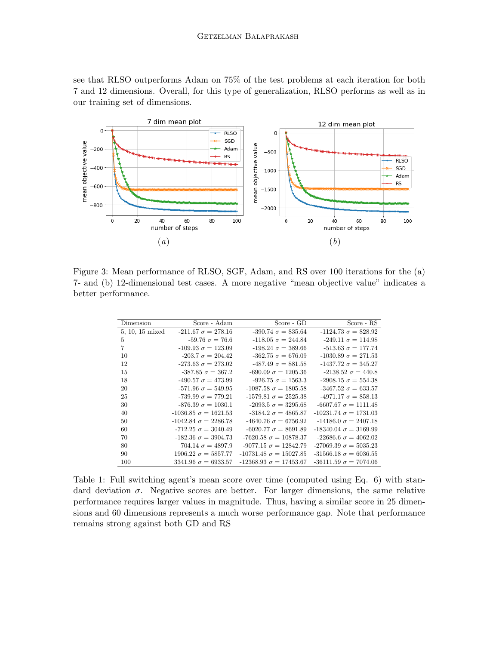see that RLSO outperforms Adam on 75% of the test problems at each iteration for both 7 and 12 dimensions. Overall, for this type of generalization, RLSO performs as well as in our training set of dimensions.



Figure 3: Mean performance of RLSO, SGF, Adam, and RS over 100 iterations for the (a) 7- and (b) 12-dimensional test cases. A more negative "mean objective value" indicates a better performance.

| Dimension       | Score - Adam                | Score - GD                    | Score - RS                   |
|-----------------|-----------------------------|-------------------------------|------------------------------|
| 5, 10, 15 mixed | $-211.67 \sigma = 278.16$   | $-390.74 \sigma = 835.64$     | $-1124.73 \sigma = 828.92$   |
| 5               | $-59.76 \sigma = 76.6$      | $-118.05 \sigma = 244.84$     | $-249.11 \sigma = 114.98$    |
| 7               | $-109.93 \sigma = 123.09$   | $-198.24 \sigma = 389.66$     | $-513.63 \sigma = 177.74$    |
| 10              | $-203.7 \sigma = 204.42$    | $-362.75 \sigma = 676.09$     | $-1030.89 \sigma = 271.53$   |
| 12              | $-273.63 \sigma = 273.02$   | $-487.49 \sigma = 881.58$     | $-1437.72 \sigma = 345.27$   |
| 15              | $-387.85 \sigma = 367.2$    | $-690.09 \sigma = 1205.36$    | $-2138.52 \sigma = 440.8$    |
| 18              | $-490.57 \sigma = 473.99$   | $-926.75 \sigma = 1563.3$     | $-2908.15 \sigma = 554.38$   |
| 20              | $-571.96 \sigma = 549.95$   | $-1087.58 \sigma = 1805.58$   | $-3467.52 \sigma = 633.57$   |
| 25              | $-739.99 \sigma = 779.21$   | $-1579.81 \sigma = 2525.38$   | $-4971.17 \sigma = 858.13$   |
| 30              | $-876.39 \sigma = 1030.1$   | $-2093.5 \sigma = 3295.68$    | $-6607.67 \sigma = 1111.48$  |
| 40              | $-1036.85 \sigma = 1621.53$ | $-3184.2 \sigma = 4865.87$    | $-10231.74 \sigma = 1731.03$ |
| 50              | $-1042.84 \sigma = 2286.78$ | $-4640.76 \sigma = 6756.92$   | $-14186.0 \sigma = 2407.18$  |
| 60              | $-712.25 \sigma = 3040.49$  | $-6020.77 \sigma = 8691.89$   | $-18340.04 \sigma = 3169.99$ |
| 70              | $-182.36 \sigma = 3904.73$  | $-7620.58 \sigma = 10878.37$  | $-22686.6 \sigma = 4062.02$  |
| 80              | $704.14 \sigma = 4897.9$    | $-9077.15 \sigma = 12842.79$  | $-27069.39 \sigma = 5035.23$ |
| 90              | $1906.22 \sigma = 5857.77$  | $-10731.48 \sigma = 15027.85$ | $-31566.18 \sigma = 6036.55$ |
| 100             | $3341.96 \sigma = 6933.57$  | $-12368.93 \sigma = 17453.67$ | $-36111.59 \sigma = 7074.06$ |

Table 1: Full switching agent's mean score over time (computed using Eq. 6) with standard deviation  $\sigma$ . Negative scores are better. For larger dimensions, the same relative performance requires larger values in magnitude. Thus, having a similar score in 25 dimensions and 60 dimensions represents a much worse performance gap. Note that performance remains strong against both GD and RS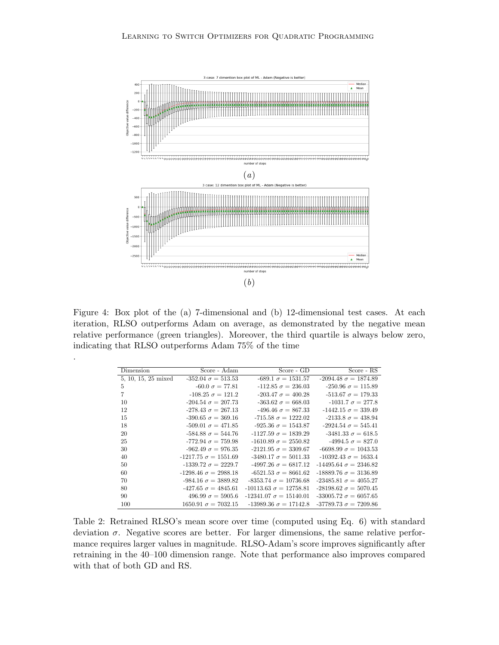

Figure 4: Box plot of the (a) 7-dimensional and (b) 12-dimensional test cases. At each iteration, RLSO outperforms Adam on average, as demonstrated by the negative mean relative performance (green triangles). Moreover, the third quartile is always below zero, indicating that RLSO outperforms Adam 75% of the time

.

| Dimension           | Score - Adam                | Score - GD                    | Score - RS                   |
|---------------------|-----------------------------|-------------------------------|------------------------------|
| 5, 10, 15, 25 mixed | $-352.04 \sigma = 513.53$   | $-689.1 \sigma = 1531.57$     | $-2094.48 \sigma = 1874.89$  |
| 5                   | $-60.0 \sigma = 77.81$      | $-112.85 \sigma = 236.03$     | $-250.96 \sigma = 115.89$    |
| $\overline{7}$      | $-108.25 \sigma = 121.2$    | $-203.47 \sigma = 400.28$     | $-513.67 \sigma = 179.33$    |
| 10                  | $-204.54 \sigma = 207.73$   | $-363.62 \sigma = 668.03$     | $-1031.7 \sigma = 277.8$     |
| 12                  | $-278.43 \sigma = 267.13$   | $-496.46 \sigma = 867.33$     | $-1442.15 \sigma = 339.49$   |
| 15                  | $-390.65 \sigma = 369.16$   | $-715.58 \sigma = 1222.02$    | $-2133.8 \sigma = 438.94$    |
| 18                  | $-509.01 \sigma = 471.85$   | $-925.36 \sigma = 1543.87$    | $-2924.54 \sigma = 545.41$   |
| 20                  | $-584.88 \sigma = 544.76$   | $-1127.59 \sigma = 1839.29$   | $-3481.33 \sigma = 618.5$    |
| 25                  | $-772.94 \sigma = 759.98$   | $-1610.89 \sigma = 2550.82$   | $-4994.5 \sigma = 827.0$     |
| 30                  | $-962.49 \sigma = 976.35$   | $-2121.95 \sigma = 3309.67$   | $-6698.99 \sigma = 1043.53$  |
| 40                  | $-1217.75 \sigma = 1551.69$ | $-3480.17 \sigma = 5011.33$   | $-10392.43 \sigma = 1633.4$  |
| 50                  | $-1339.72 \sigma = 2229.7$  | $-4997.26 \sigma = 6817.12$   | $-14495.64 \sigma = 2346.82$ |
| 60                  | $-1298.46 \sigma = 2988.18$ | $-6521.53 \sigma = 8661.62$   | $-18889.76 \sigma = 3136.89$ |
| 70                  | $-984.16 \sigma = 3889.82$  | $-8353.74 \sigma = 10736.68$  | $-23485.81 \sigma = 4055.27$ |
| 80                  | $-427.65 \sigma = 4845.61$  | $-10113.63 \sigma = 12758.81$ | $-28198.62 \sigma = 5070.45$ |
| 90                  | $496.99 \sigma = 5905.6$    | $-12341.07 \sigma = 15140.01$ | $-33005.72 \sigma = 6057.65$ |
| 100                 | $1650.91 \sigma = 7032.15$  | $-13989.36 \sigma = 17142.8$  | $-37789.73 \sigma = 7209.86$ |

Table 2: Retrained RLSO's mean score over time (computed using Eq. 6) with standard deviation  $\sigma$ . Negative scores are better. For larger dimensions, the same relative performance requires larger values in magnitude. RLSO-Adam's score improves significantly after retraining in the 40–100 dimension range. Note that performance also improves compared with that of both GD and RS.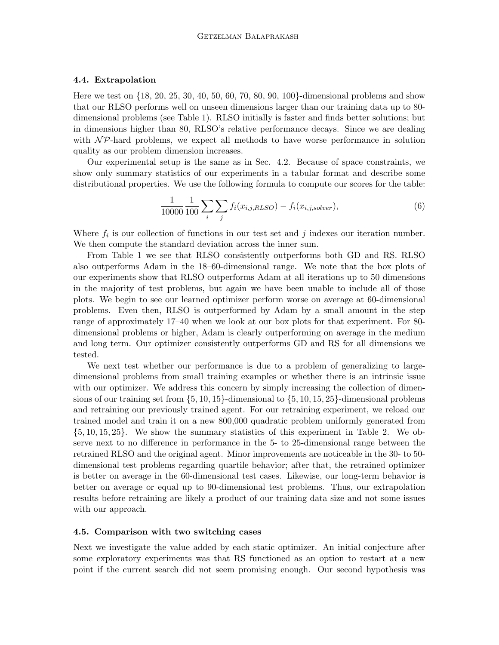#### 4.4. Extrapolation

Here we test on {18, 20, 25, 30, 40, 50, 60, 70, 80, 90, 100}-dimensional problems and show that our RLSO performs well on unseen dimensions larger than our training data up to 80 dimensional problems (see Table 1). RLSO initially is faster and finds better solutions; but in dimensions higher than 80, RLSO's relative performance decays. Since we are dealing with  $\mathcal{NP}$ -hard problems, we expect all methods to have worse performance in solution quality as our problem dimension increases.

Our experimental setup is the same as in Sec. 4.2. Because of space constraints, we show only summary statistics of our experiments in a tabular format and describe some distributional properties. We use the following formula to compute our scores for the table:

$$
\frac{1}{10000} \frac{1}{100} \sum_{i} \sum_{j} f_i(x_{i,j,RLSO}) - f_i(x_{i,j,solver}), \tag{6}
$$

Where  $f_i$  is our collection of functions in our test set and j indexes our iteration number. We then compute the standard deviation across the inner sum.

From Table 1 we see that RLSO consistently outperforms both GD and RS. RLSO also outperforms Adam in the 18–60-dimensional range. We note that the box plots of our experiments show that RLSO outperforms Adam at all iterations up to 50 dimensions in the majority of test problems, but again we have been unable to include all of those plots. We begin to see our learned optimizer perform worse on average at 60-dimensional problems. Even then, RLSO is outperformed by Adam by a small amount in the step range of approximately 17–40 when we look at our box plots for that experiment. For 80 dimensional problems or higher, Adam is clearly outperforming on average in the medium and long term. Our optimizer consistently outperforms GD and RS for all dimensions we tested.

We next test whether our performance is due to a problem of generalizing to largedimensional problems from small training examples or whether there is an intrinsic issue with our optimizer. We address this concern by simply increasing the collection of dimensions of our training set from  $\{5, 10, 15\}$ -dimensional to  $\{5, 10, 15, 25\}$ -dimensional problems and retraining our previously trained agent. For our retraining experiment, we reload our trained model and train it on a new 800,000 quadratic problem uniformly generated from {5, 10, 15, 25}. We show the summary statistics of this experiment in Table 2. We observe next to no difference in performance in the 5- to 25-dimensional range between the retrained RLSO and the original agent. Minor improvements are noticeable in the 30- to 50 dimensional test problems regarding quartile behavior; after that, the retrained optimizer is better on average in the 60-dimensional test cases. Likewise, our long-term behavior is better on average or equal up to 90-dimensional test problems. Thus, our extrapolation results before retraining are likely a product of our training data size and not some issues with our approach.

#### 4.5. Comparison with two switching cases

Next we investigate the value added by each static optimizer. An initial conjecture after some exploratory experiments was that RS functioned as an option to restart at a new point if the current search did not seem promising enough. Our second hypothesis was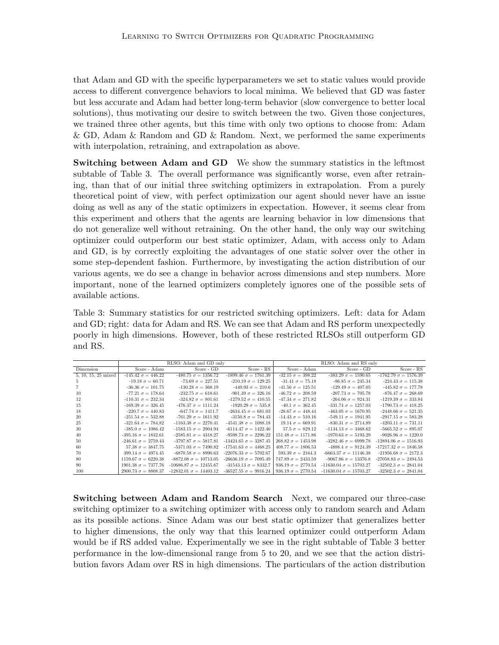that Adam and GD with the specific hyperparameters we set to static values would provide access to different convergence behaviors to local minima. We believed that GD was faster but less accurate and Adam had better long-term behavior (slow convergence to better local solutions), thus motivating our desire to switch between the two. Given those conjectures, we trained three other agents, but this time with only two options to choose from: Adam & GD, Adam & Random and GD & Random. Next, we performed the same experiments with interpolation, retraining, and extrapolation as above.

**Switching between Adam and GD** We show the summary statistics in the leftmost subtable of Table 3. The overall performance was significantly worse, even after retraining, than that of our initial three switching optimizers in extrapolation. From a purely theoretical point of view, with perfect optimization our agent should never have an issue doing as well as any of the static optimizers in expectation. However, it seems clear from this experiment and others that the agents are learning behavior in low dimensions that do not generalize well without retraining. On the other hand, the only way our switching optimizer could outperform our best static optimizer, Adam, with access only to Adam and GD, is by correctly exploiting the advantages of one static solver over the other in some step-dependent fashion. Furthermore, by investigating the action distribution of our various agents, we do see a change in behavior across dimensions and step numbers. More important, none of the learned optimizers completely ignores one of the possible sets of available actions.

Table 3: Summary statistics for our restricted switching optimizers. Left: data for Adam and GD; right: data for Adam and RS. We can see that Adam and RS perform unexpectedly poorly in high dimensions. However, both of these restricted RLSOs still outperform GD and RS.

|                     | RLSO: Adam and GD only     |                               | RLSO: Adam and RS only       |                           |                               |                              |
|---------------------|----------------------------|-------------------------------|------------------------------|---------------------------|-------------------------------|------------------------------|
| Dimension           | Score - Adam               | Score - GD                    | Score - RS                   | Score - Adam              | Score - GD                    | Score - RS                   |
| 5, 10, 15, 25 mixed | $-145.42 \sigma = 446.22$  | $-480.75 \sigma = 1356.72$    | $-1899.46 \sigma = 1761.39$  | $-32.15 \sigma = 398.22$  | $-383.29 \sigma = 1590.65$    | $-1762.79 \sigma = 1576.39$  |
| $\mathcal{D}$       | $-19.18 \sigma = 60.71$    | $-73.69 \sigma = 227.51$      | $-210.19 \sigma = 129.25$    | $-31.41 \sigma = 75.18$   | $-86.85 \sigma = 245.34$      | $-224.43 \sigma = 115.38$    |
|                     | $-36.36 \sigma = 101.75$   | $-130.28 \sigma = 368.19$     | $-440.93 \sigma = 210.6$     | $-41.56 \sigma = 125.51$  | $-129.49 \sigma = 407.05$     | $-445.82 \sigma = 177.78$    |
| 10                  | $-77.21 \sigma = 178.64$   | $-232.75 \sigma = 618.61$     | $-901.39 \sigma = 326.16$    | $-46.72 \sigma = 208.59$  | $-207.73 \sigma = 705.78$     | $-876.47 \sigma = 268.69$    |
| 12                  | $-110.31 \sigma = 232.34$  | $-324.82 \sigma = 801.61$     | $-1279.52 \sigma = 410.55$   | $-47.34 \sigma = 271.82$  | $-264.06 \sigma = 924.31$     | $-1219.39 \sigma = 333.84$   |
| 15                  | $-169.39 \sigma = 326.45$  | $-476.37 \sigma = 1111.24$    | $-1920.29 \sigma = 535.8$    | $-40.1 \sigma = 362.45$   | $-331.74 \sigma = 1257.03$    | $-1790.73 \sigma = 418.25$   |
| 18                  | $-220.7 \sigma = 440.83$   | $-647.74 \sigma = 1411.7$     | $-2634.45 \sigma = 681.03$   | $-28.67 \sigma = 448.44$  | $-463.05 \sigma = 1670.95$    | $-2448.66 \sigma = 521.35$   |
| 20                  | $-251.54 \sigma = 532.88$  | $-761.29 \sigma = 1611.92$    | $-3150.8 \sigma = 784.43$    | $-14.43 \sigma = 510.16$  | $-549.11 \sigma = 1941.95$    | $-2917.15 \sigma = 583.28$   |
| 25                  | $-321.64 \sigma = 784.82$  | $-1163.38 \sigma = 2270.41$   | $-4541.38 \sigma = 1088.18$  | $19.14 \sigma = 669.91$   | $-830.31 \sigma = 2714.89$    | $-4203.11 \sigma = 731.11$   |
| 30                  | $-385.0 \sigma = 1086.42$  | $-1583.15 \sigma = 2904.94$   | $-6114.47 \sigma = 1422.46$  | $57.5 \sigma = 829.12$    | $-1134.13 \sigma = 3468.62$   | $-5665.52 \sigma = 895.07$   |
| 40                  | $-395.16 \sigma = 1832.61$ | $-2585.81 \sigma = 4318.27$   | $-9598.73 \sigma = 2296.22$  | $151.48 \sigma = 1171.86$ | $-1970.63 \sigma = 5193.29$   | $-9026.96 \sigma = 1220.0$   |
| 50                  | $-246.61 \sigma = 2759.43$ | $-3797.87 \sigma = 5817.81$   | $-13424.65 \sigma = 3287.45$ | $268.82 \sigma = 1453.98$ | $-3282.46 \sigma = 6999.78$   | $-12894.06 \sigma = 1516.93$ |
| -60                 | $57.38 \sigma = 3847.75$   | $-5371.03 \sigma = 7490.82$   | $-17541.63 \sigma = 4468.25$ | $408.77 \sigma = 1806.53$ | $-4888.4 \sigma = 9124.39$    | $-17217.32 \sigma = 1846.58$ |
| 70                  | 399.14 $\sigma = 4974.45$  | $-6870.58 \sigma = 8990.63$   | $-22076.33 \sigma = 5702.67$ | $593.39 \sigma = 2164.3$  | $-6663.37 \sigma = 11146.38$  | $-21956.68 \sigma = 2172.3$  |
| -80                 | $1159.67 \sigma = 6220.38$ | $-8872.08 \sigma = 10713.05$  | $-26636.19 \sigma = 7095.49$ | $747.89 \sigma = 2433.59$ | $-9067.86 \sigma = 13376.8$   | $-27058.83 \sigma = 2494.53$ |
| 90                  | $1901.38 \sigma = 7377.76$ | $-10686.87 \sigma = 12455.67$ | $-31543.13 \sigma = 8332.7$  | $936.19 \sigma = 2770.54$ | $-11630.04 \sigma = 15703.27$ | $-32502.3 \sigma = 2841.04$  |
| 100                 | $2900.73 \sigma = 8808.37$ | $-12832.01 \sigma = 14403.12$ | $-36527.55 \sigma = 9916.24$ | $936.19 \sigma = 2770.54$ | $-11630.04 \sigma = 15703.27$ | $-32502.3 \sigma = 2841.04$  |

Switching between Adam and Random Search Next, we compared our three-case switching optimizer to a switching optimizer with access only to random search and Adam as its possible actions. Since Adam was our best static optimizer that generalizes better to higher dimensions, the only way that this learned optimizer could outperform Adam would be if RS added value. Experimentally we see in the right subtable of Table 3 better performance in the low-dimensional range from 5 to 20, and we see that the action distribution favors Adam over RS in high dimensions. The particulars of the action distribution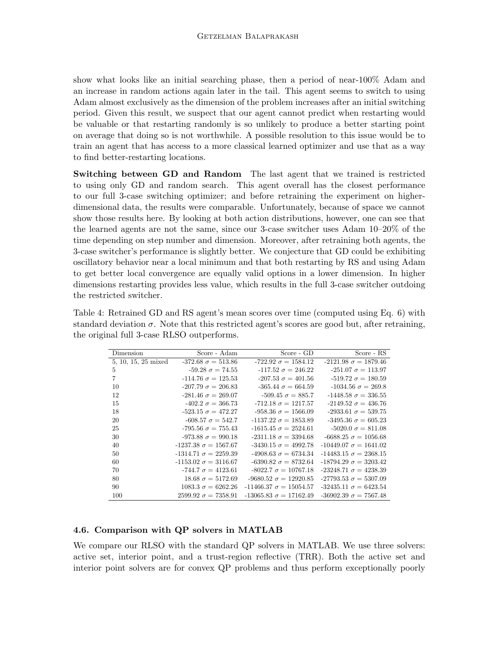show what looks like an initial searching phase, then a period of near-100% Adam and an increase in random actions again later in the tail. This agent seems to switch to using Adam almost exclusively as the dimension of the problem increases after an initial switching period. Given this result, we suspect that our agent cannot predict when restarting would be valuable or that restarting randomly is so unlikely to produce a better starting point on average that doing so is not worthwhile. A possible resolution to this issue would be to train an agent that has access to a more classical learned optimizer and use that as a way to find better-restarting locations.

Switching between GD and Random The last agent that we trained is restricted to using only GD and random search. This agent overall has the closest performance to our full 3-case switching optimizer; and before retraining the experiment on higherdimensional data, the results were comparable. Unfortunately, because of space we cannot show those results here. By looking at both action distributions, however, one can see that the learned agents are not the same, since our 3-case switcher uses Adam 10–20% of the time depending on step number and dimension. Moreover, after retraining both agents, the 3-case switcher's performance is slightly better. We conjecture that GD could be exhibiting oscillatory behavior near a local minimum and that both restarting by RS and using Adam to get better local convergence are equally valid options in a lower dimension. In higher dimensions restarting provides less value, which results in the full 3-case switcher outdoing the restricted switcher.

Table 4: Retrained GD and RS agent's mean scores over time (computed using Eq. 6) with standard deviation  $\sigma$ . Note that this restricted agent's scores are good but, after retraining, the original full 3-case RLSO outperforms.

| Dimension           | Score - Adam                | Score - GD                    | Score - RS                   |
|---------------------|-----------------------------|-------------------------------|------------------------------|
| 5, 10, 15, 25 mixed | $-372.68 \sigma = 513.86$   | $-722.92 \sigma = 1584.12$    | $-2121.98 \sigma = 1879.46$  |
| 5                   | $-59.28 \sigma = 74.55$     | $-117.52 \sigma = 246.22$     | $-251.07 \sigma = 113.97$    |
| $\overline{7}$      | $-114.76 \sigma = 125.53$   | $-207.53 \sigma = 401.56$     | $-519.72 \sigma = 180.59$    |
| 10                  | $-207.79 \sigma = 206.83$   | $-365.44 \sigma = 664.59$     | $-1034.56 \sigma = 269.8$    |
| 12                  | $-281.46 \sigma = 269.07$   | $-509.45 \sigma = 885.7$      | $-1448.58 \sigma = 336.55$   |
| 15                  | $-402.2 \sigma = 366.73$    | $-712.18 \sigma = 1217.57$    | $-2149.52 \sigma = 436.76$   |
| 18                  | $-523.15 \sigma = 472.27$   | $-958.36 \sigma = 1566.09$    | $-2933.61 \sigma = 539.75$   |
| 20                  | $-608.57 \sigma = 542.7$    | $-1137.22 \sigma = 1853.89$   | $-3495.36 \sigma = 605.23$   |
| 25                  | $-795.56 \sigma = 755.43$   | $-1615.45 \sigma = 2524.61$   | $-5020.0 \sigma = 811.08$    |
| 30                  | $-973.88 \sigma = 990.18$   | $-2311.18 \sigma = 3394.68$   | $-6688.25 \sigma = 1056.68$  |
| 40                  | $-1237.38 \sigma = 1567.67$ | $-3430.15 \sigma = 4992.78$   | $-10449.07 \sigma = 1641.02$ |
| 50                  | $-1314.71 \sigma = 2259.39$ | $-4908.63 \sigma = 6734.34$   | $-14483.15 \sigma = 2368.15$ |
| 60                  | $-1153.02 \sigma = 3116.67$ | $-6390.82 \sigma = 8732.64$   | $-18794.29 \sigma = 3203.42$ |
| 70                  | $-744.7 \sigma = 4123.61$   | $-8022.7 \sigma = 10767.18$   | $-23248.71 \sigma = 4238.39$ |
| 80                  | $18.68 \sigma = 5172.69$    | $-9680.52 \sigma = 12920.85$  | $-27793.53 \sigma = 5307.09$ |
| 90                  | $1083.3 \sigma = 6262.26$   | $-11466.37 \sigma = 15054.57$ | $-32435.11 \sigma = 6423.54$ |
| 100                 | $2599.92 \sigma = 7358.91$  | $-13065.83 \sigma = 17162.49$ | $-36902.39 \sigma = 7567.48$ |

### 4.6. Comparison with QP solvers in MATLAB

We compare our RLSO with the standard QP solvers in MATLAB. We use three solvers: active set, interior point, and a trust-region reflective (TRR). Both the active set and interior point solvers are for convex QP problems and thus perform exceptionally poorly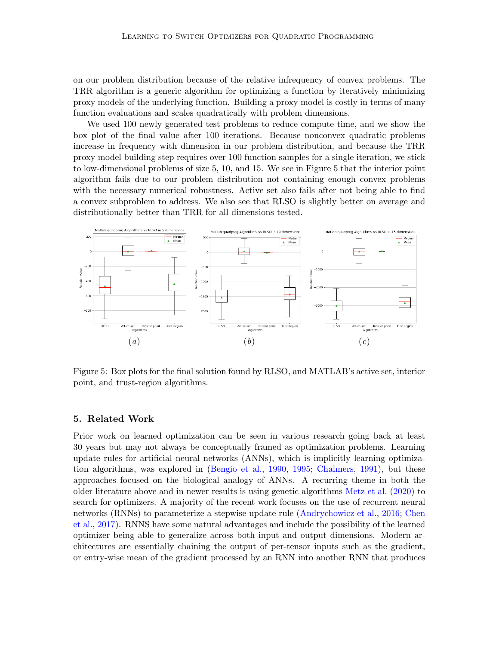on our problem distribution because of the relative infrequency of convex problems. The TRR algorithm is a generic algorithm for optimizing a function by iteratively minimizing proxy models of the underlying function. Building a proxy model is costly in terms of many function evaluations and scales quadratically with problem dimensions.

We used 100 newly generated test problems to reduce compute time, and we show the box plot of the final value after 100 iterations. Because nonconvex quadratic problems increase in frequency with dimension in our problem distribution, and because the TRR proxy model building step requires over 100 function samples for a single iteration, we stick to low-dimensional problems of size 5, 10, and 15. We see in Figure 5 that the interior point algorithm fails due to our problem distribution not containing enough convex problems with the necessary numerical robustness. Active set also fails after not being able to find a convex subproblem to address. We also see that RLSO is slightly better on average and distributionally better than TRR for all dimensions tested.



Figure 5: Box plots for the final solution found by RLSO, and MATLAB's active set, interior point, and trust-region algorithms.

### 5. Related Work

Prior work on learned optimization can be seen in various research going back at least 30 years but may not always be conceptually framed as optimization problems. Learning update rules for artificial neural networks (ANNs), which is implicitly learning optimization algorithms, was explored in [\(Bengio et al.,](#page-14-7) [1990,](#page-14-7) [1995;](#page-14-8) [Chalmers,](#page-14-9) [1991\)](#page-14-9), but these approaches focused on the biological analogy of ANNs. A recurring theme in both the older literature above and in newer results is using genetic algorithms [Metz et al.](#page-15-7) [\(2020\)](#page-15-7) to search for optimizers. A majority of the recent work focuses on the use of recurrent neural networks (RNNs) to parameterize a stepwise update rule [\(Andrychowicz et al.,](#page-14-1) [2016;](#page-14-1) [Chen](#page-14-10) [et al.,](#page-14-10) [2017\)](#page-14-10). RNNS have some natural advantages and include the possibility of the learned optimizer being able to generalize across both input and output dimensions. Modern architectures are essentially chaining the output of per-tensor inputs such as the gradient, or entry-wise mean of the gradient processed by an RNN into another RNN that produces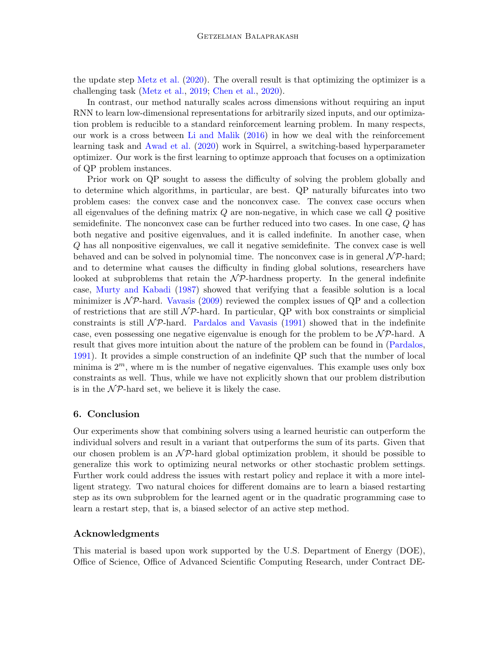the update step [Metz et al.](#page-15-7) [\(2020\)](#page-15-7). The overall result is that optimizing the optimizer is a challenging task [\(Metz et al.,](#page-15-8) [2019;](#page-15-8) [Chen et al.,](#page-14-11) [2020\)](#page-14-11).

In contrast, our method naturally scales across dimensions without requiring an input RNN to learn low-dimensional representations for arbitrarily sized inputs, and our optimization problem is reducible to a standard reinforcement learning problem. In many respects, our work is a cross between [Li and Malik](#page-15-0) [\(2016\)](#page-15-0) in how we deal with the reinforcement learning task and [Awad et al.](#page-14-12) [\(2020\)](#page-14-12) work in Squirrel, a switching-based hyperparameter optimizer. Our work is the first learning to optimze approach that focuses on a optimization of QP problem instances.

Prior work on QP sought to assess the difficulty of solving the problem globally and to determine which algorithms, in particular, are best. QP naturally bifurcates into two problem cases: the convex case and the nonconvex case. The convex case occurs when all eigenvalues of the defining matrix  $Q$  are non-negative, in which case we call  $Q$  positive semidefinite. The nonconvex case can be further reduced into two cases. In one case, Q has both negative and positive eigenvalues, and it is called indefinite. In another case, when Q has all nonpositive eigenvalues, we call it negative semidefinite. The convex case is well behaved and can be solved in polynomial time. The nonconvex case is in general  $\mathcal{NP}$ -hard; and to determine what causes the difficulty in finding global solutions, researchers have looked at subproblems that retain the  $\mathcal{NP}$ -hardness property. In the general indefinite case, [Murty and Kabadi](#page-15-9) [\(1987\)](#page-15-9) showed that verifying that a feasible solution is a local minimizer is  $N\mathcal{P}$ -hard. [Vavasis](#page-15-10) [\(2009\)](#page-15-10) reviewed the complex issues of QP and a collection of restrictions that are still  $\mathcal{NP}$ -hard. In particular, QP with box constraints or simplicial constraints is still  $\mathcal{NP}$ -hard. [Pardalos and Vavasis](#page-15-11) [\(1991\)](#page-15-11) showed that in the indefinite case, even possessing one negative eigenvalue is enough for the problem to be  $\mathcal{NP}$ -hard. A result that gives more intuition about the nature of the problem can be found in [\(Pardalos,](#page-15-12) [1991\)](#page-15-12). It provides a simple construction of an indefinite QP such that the number of local minima is  $2^m$ , where m is the number of negative eigenvalues. This example uses only box constraints as well. Thus, while we have not explicitly shown that our problem distribution is in the  $\mathcal{NP}$ -hard set, we believe it is likely the case.

# 6. Conclusion

Our experiments show that combining solvers using a learned heuristic can outperform the individual solvers and result in a variant that outperforms the sum of its parts. Given that our chosen problem is an  $\mathcal{NP}$ -hard global optimization problem, it should be possible to generalize this work to optimizing neural networks or other stochastic problem settings. Further work could address the issues with restart policy and replace it with a more intelligent strategy. Two natural choices for different domains are to learn a biased restarting step as its own subproblem for the learned agent or in the quadratic programming case to learn a restart step, that is, a biased selector of an active step method.

## Acknowledgments

This material is based upon work supported by the U.S. Department of Energy (DOE), Office of Science, Office of Advanced Scientific Computing Research, under Contract DE-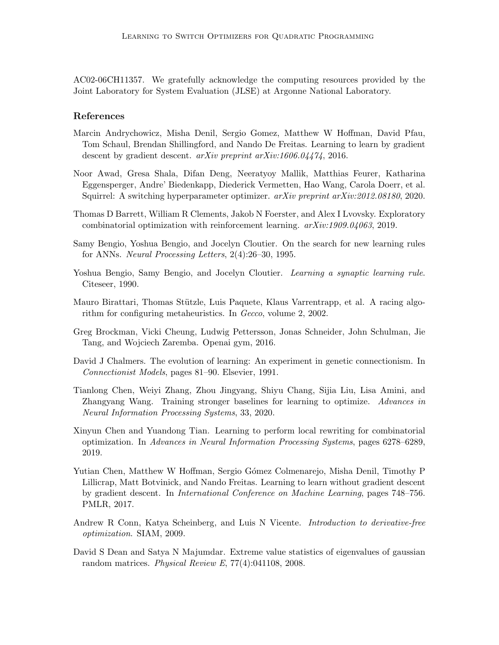AC02-06CH11357. We gratefully acknowledge the computing resources provided by the Joint Laboratory for System Evaluation (JLSE) at Argonne National Laboratory.

# References

- <span id="page-14-1"></span>Marcin Andrychowicz, Misha Denil, Sergio Gomez, Matthew W Hoffman, David Pfau, Tom Schaul, Brendan Shillingford, and Nando De Freitas. Learning to learn by gradient descent by gradient descent. *arXiv preprint arXiv:1606.04474*, 2016.
- <span id="page-14-12"></span>Noor Awad, Gresa Shala, Difan Deng, Neeratyoy Mallik, Matthias Feurer, Katharina Eggensperger, Andre' Biedenkapp, Diederick Vermetten, Hao Wang, Carola Doerr, et al. Squirrel: A switching hyperparameter optimizer. arXiv preprint arXiv:2012.08180, 2020.
- <span id="page-14-3"></span>Thomas D Barrett, William R Clements, Jakob N Foerster, and Alex I Lvovsky. Exploratory combinatorial optimization with reinforcement learning. arXiv:1909.04063, 2019.
- <span id="page-14-8"></span>Samy Bengio, Yoshua Bengio, and Jocelyn Cloutier. On the search for new learning rules for ANNs. Neural Processing Letters, 2(4):26–30, 1995.
- <span id="page-14-7"></span>Yoshua Bengio, Samy Bengio, and Jocelyn Cloutier. Learning a synaptic learning rule. Citeseer, 1990.
- <span id="page-14-5"></span>Mauro Birattari, Thomas Stützle, Luis Paquete, Klaus Varrentrapp, et al. A racing algorithm for configuring metaheuristics. In *Gecco*, volume 2, 2002.
- <span id="page-14-6"></span>Greg Brockman, Vicki Cheung, Ludwig Pettersson, Jonas Schneider, John Schulman, Jie Tang, and Wojciech Zaremba. Openai gym, 2016.
- <span id="page-14-9"></span>David J Chalmers. The evolution of learning: An experiment in genetic connectionism. In Connectionist Models, pages 81–90. Elsevier, 1991.
- <span id="page-14-11"></span>Tianlong Chen, Weiyi Zhang, Zhou Jingyang, Shiyu Chang, Sijia Liu, Lisa Amini, and Zhangyang Wang. Training stronger baselines for learning to optimize. Advances in Neural Information Processing Systems, 33, 2020.
- <span id="page-14-2"></span>Xinyun Chen and Yuandong Tian. Learning to perform local rewriting for combinatorial optimization. In Advances in Neural Information Processing Systems, pages 6278–6289, 2019.
- <span id="page-14-10"></span>Yutian Chen, Matthew W Hoffman, Sergio Gómez Colmenarejo, Misha Denil, Timothy P Lillicrap, Matt Botvinick, and Nando Freitas. Learning to learn without gradient descent by gradient descent. In International Conference on Machine Learning, pages 748–756. PMLR, 2017.
- <span id="page-14-0"></span>Andrew R Conn, Katya Scheinberg, and Luis N Vicente. Introduction to derivative-free optimization. SIAM, 2009.
- <span id="page-14-4"></span>David S Dean and Satya N Majumdar. Extreme value statistics of eigenvalues of gaussian random matrices. Physical Review E,  $77(4):041108$ , 2008.